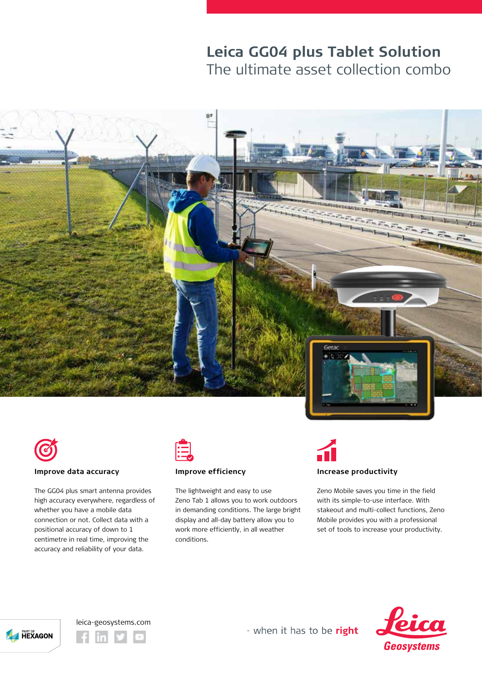## **Leica GG04 plus Tablet Solution** The ultimate asset collection combo





#### **Improve data accuracy**

The GG04 plus smart antenna provides high accuracy everywhere, regardless of whether you have a mobile data connection or not. Collect data with a positional accuracy of down to 1 centimetre in real time, improving the accuracy and reliability of your data.



### **Improve efficiency**

The lightweight and easy to use Zeno Tab 1 allows you to work outdoors in demanding conditions. The large bright display and all-day battery allow you to work more efficiently, in all weather conditions.



Zeno Mobile saves you time in the field with its simple-to-use interface. With

stakeout and multi-collect functions, Zeno Mobile provides you with a professional set of tools to increase your productivity.





- when it has to be right